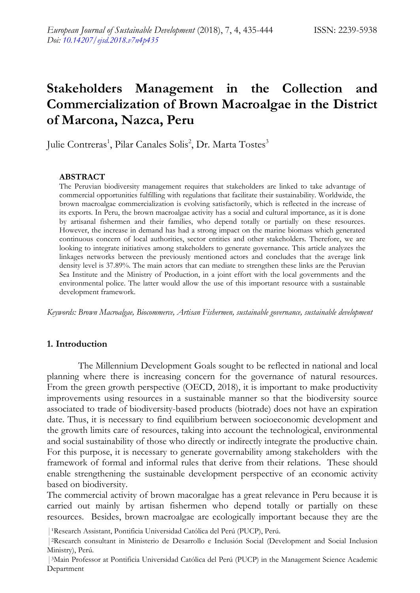# **Stakeholders Management in the Collection and Commercialization of Brown Macroalgae in the District of Marcona, Nazca, Peru**

Julie Contreras<sup>1</sup>, Pilar Canales Solis<sup>2</sup>, Dr. Marta Tostes<sup>3</sup>

## **ABSTRACT**

The Peruvian biodiversity management requires that stakeholders are linked to take advantage of commercial opportunities fulfilling with regulations that facilitate their sustainability. Worldwide, the brown macroalgae commercialization is evolving satisfactorily, which is reflected in the increase of its exports. In Peru, the brown macroalgae activity has a social and cultural importance, as it is done by artisanal fishermen and their families, who depend totally or partially on these resources. However, the increase in demand has had a strong impact on the marine biomass which generated continuous concern of local authorities, sector entities and other stakeholders. Therefore, we are looking to integrate initiatives among stakeholders to generate governance. This article analyzes the linkages networks between the previously mentioned actors and concludes that the average link density level is 37.89%. The main actors that can mediate to strengthen these links are the Peruvian Sea Institute and the Ministry of Production, in a joint effort with the local governments and the environmental police. The latter would allow the use of this important resource with a sustainable development framework.

*Keywords: Brown Macroalgae, Biocommerce, Artisan Fishermen, sustainable governance, sustainable development*

# **1. Introduction**

The Millennium Development Goals sought to be reflected in national and local planning where there is increasing concern for the governance of natural resources. From the green growth perspective (OECD, 2018), it is important to make productivity improvements using resources in a sustainable manner so that the biodiversity source associated to trade of biodiversity-based products (biotrade) does not have an expiration date. Thus, it is necessary to find equilibrium between socioeconomic development and the growth limits care of resources, taking into account the technological, environmental and social sustainability of those who directly or indirectly integrate the productive chain. For this purpose, it is necessary to generate governability among stakeholders with the framework of formal and informal rules that derive from their relations. These should enable strengthening the sustainable development perspective of an economic activity based on biodiversity.

The commercial activity of brown macoralgae has a great relevance in Peru because it is carried out mainly by artisan fishermen who depend totally or partially on these resources. Besides, brown macroalgae are ecologically important because they are the

| <sup>1</sup>Research Assistant, Pontificia Universidad Católica del Perú (PUCP), Perú.

<sup>|</sup>2Research consultant in Ministerio de Desarrollo e Inclusión Social (Development and Social Inclusion Ministry), Perú.

<sup>|</sup>3Main Professor at Pontificia Universidad Católica del Perú (PUCP) in the Management Science Academic Department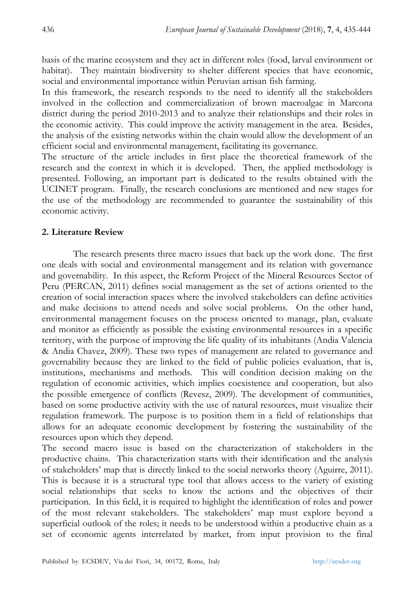basis of the marine ecosystem and they act in different roles (food, larval environment or habitat). They maintain biodiversity to shelter different species that have economic, social and environmental importance within Peruvian artisan fish farming.

In this framework, the research responds to the need to identify all the stakeholders involved in the collection and commercialization of brown macroalgae in Marcona district during the period 2010-2013 and to analyze their relationships and their roles in the economic activity. This could improve the activity management in the area. Besides, the analysis of the existing networks within the chain would allow the development of an efficient social and environmental management, facilitating its governance.

The structure of the article includes in first place the theoretical framework of the research and the context in which it is developed. Then, the applied methodology is presented. Following, an important part is dedicated to the results obtained with the UCINET program. Finally, the research conclusions are mentioned and new stages for the use of the methodology are recommended to guarantee the sustainability of this economic activity.

#### **2. Literature Review**

The research presents three macro issues that back up the work done. The first one deals with social and environmental management and its relation with governance and governability. In this aspect, the Reform Project of the Mineral Resources Sector of Peru (PERCAN, 2011) defines social management as the set of actions oriented to the creation of social interaction spaces where the involved stakeholders can define activities and make decisions to attend needs and solve social problems. On the other hand, environmental management focuses on the process oriented to manage, plan, evaluate and monitor as efficiently as possible the existing environmental resources in a specific territory, with the purpose of improving the life quality of its inhabitants (Andia Valencia & Andia Chavez, 2009). These two types of management are related to governance and governability because they are linked to the field of public policies evaluation, that is, institutions, mechanisms and methods. This will condition decision making on the regulation of economic activities, which implies coexistence and cooperation, but also the possible emergence of conflicts (Revesz, 2009). The development of communities, based on some productive activity with the use of natural resources, must visualize their regulation framework. The purpose is to position them in a field of relationships that allows for an adequate economic development by fostering the sustainability of the resources upon which they depend.

The second macro issue is based on the characterization of stakeholders in the productive chains. This characterization starts with their identification and the analysis of stakeholders' map that is directly linked to the social networks theory (Aguirre, 2011). This is because it is a structural type tool that allows access to the variety of existing social relationships that seeks to know the actions and the objectives of their participation. In this field, it is required to highlight the identification of roles and power of the most relevant stakeholders. The stakeholders' map must explore beyond a superficial outlook of the roles; it needs to be understood within a productive chain as a set of economic agents interrelated by market, from input provision to the final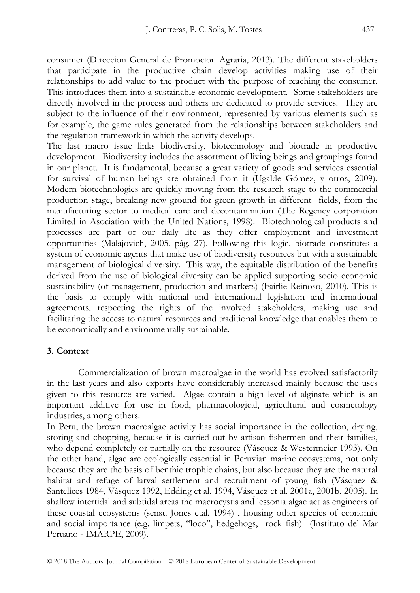consumer (Direccion General de Promocion Agraria, 2013). The different stakeholders that participate in the productive chain develop activities making use of their relationships to add value to the product with the purpose of reaching the consumer. This introduces them into a sustainable economic development. Some stakeholders are directly involved in the process and others are dedicated to provide services. They are subject to the influence of their environment, represented by various elements such as for example, the game rules generated from the relationships between stakeholders and the regulation framework in which the activity develops.

The last macro issue links biodiversity, biotechnology and biotrade in productive development. Biodiversity includes the assortment of living beings and groupings found in our planet. It is fundamental, because a great variety of goods and services essential for survival of human beings are obtained from it (Ugalde Gómez, y otros, 2009). Modern biotechnologies are quickly moving from the research stage to the commercial production stage, breaking new ground for green growth in different fields, from the manufacturing sector to medical care and decontamination (The Regency corporation Limited in Asociation with the United Nations, 1998). Biotechnological products and processes are part of our daily life as they offer employment and investment opportunities (Malajovich, 2005, pág. 27). Following this logic, biotrade constitutes a system of economic agents that make use of biodiversity resources but with a sustainable management of biological diversity. This way, the equitable distribution of the benefits derived from the use of biological diversity can be applied supporting socio economic sustainability (of management, production and markets) (Fairlie Reinoso, 2010). This is the basis to comply with national and international legislation and international agreements, respecting the rights of the involved stakeholders, making use and facilitating the access to natural resources and traditional knowledge that enables them to be economically and environmentally sustainable.

# **3. Context**

Commercialization of brown macroalgae in the world has evolved satisfactorily in the last years and also exports have considerably increased mainly because the uses given to this resource are varied. Algae contain a high level of alginate which is an important additive for use in food, pharmacological, agricultural and cosmetology industries, among others.

In Peru, the brown macroalgae activity has social importance in the collection, drying, storing and chopping, because it is carried out by artisan fishermen and their families, who depend completely or partially on the resource (Vásquez & Westermeier 1993). On the other hand, algae are ecologically essential in Peruvian marine ecosystems, not only because they are the basis of benthic trophic chains, but also because they are the natural habitat and refuge of larval settlement and recruitment of young fish (Vásquez & Santelices 1984, Vásquez 1992, Edding et al. 1994, Vásquez et al. 2001a, 2001b, 2005). In shallow intertidal and subtidal areas the macrocystis and lessonia algae act as engineers of these coastal ecosystems (sensu Jones etal. 1994) , housing other species of economic and social importance (e.g. limpets, "loco", hedgehogs, rock fish) (Instituto del Mar Peruano - IMARPE, 2009).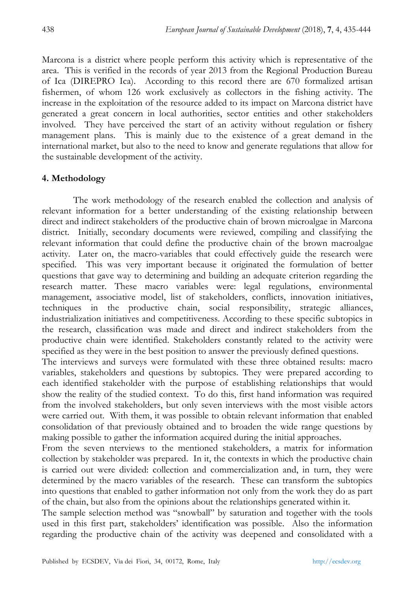Marcona is a district where people perform this activity which is representative of the area. This is verified in the records of year 2013 from the Regional Production Bureau of Ica (DIREPRO Ica). According to this record there are 670 formalized artisan fishermen, of whom 126 work exclusively as collectors in the fishing activity. The increase in the exploitation of the resource added to its impact on Marcona district have generated a great concern in local authorities, sector entities and other stakeholders involved. They have perceived the start of an activity without regulation or fishery management plans. This is mainly due to the existence of a great demand in the international market, but also to the need to know and generate regulations that allow for the sustainable development of the activity.

## **4. Methodology**

The work methodology of the research enabled the collection and analysis of relevant information for a better understanding of the existing relationship between direct and indirect stakeholders of the productive chain of brown microalgae in Marcona district. Initially, secondary documents were reviewed, compiling and classifying the relevant information that could define the productive chain of the brown macroalgae activity. Later on, the macro-variables that could effectively guide the research were specified. This was very important because it originated the formulation of better questions that gave way to determining and building an adequate criterion regarding the research matter. These macro variables were: legal regulations, environmental management, associative model, list of stakeholders, conflicts, innovation initiatives, techniques in the productive chain, social responsibility, strategic alliances, industrialization initiatives and competitiveness. According to these specific subtopics in the research, classification was made and direct and indirect stakeholders from the productive chain were identified. Stakeholders constantly related to the activity were specified as they were in the best position to answer the previously defined questions.

The interviews and surveys were formulated with these three obtained results: macro variables, stakeholders and questions by subtopics. They were prepared according to each identified stakeholder with the purpose of establishing relationships that would show the reality of the studied context. To do this, first hand information was required from the involved stakeholders, but only seven interviews with the most visible actors were carried out. With them, it was possible to obtain relevant information that enabled consolidation of that previously obtained and to broaden the wide range questions by making possible to gather the information acquired during the initial approaches.

From the seven nterviews to the mentioned stakeholders, a matrix for information collection by stakeholder was prepared. In it, the contexts in which the productive chain is carried out were divided: collection and commercialization and, in turn, they were determined by the macro variables of the research. These can transform the subtopics into questions that enabled to gather information not only from the work they do as part of the chain, but also from the opinions about the relationships generated within it.

The sample selection method was "snowball" by saturation and together with the tools used in this first part, stakeholders' identification was possible. Also the information regarding the productive chain of the activity was deepened and consolidated with a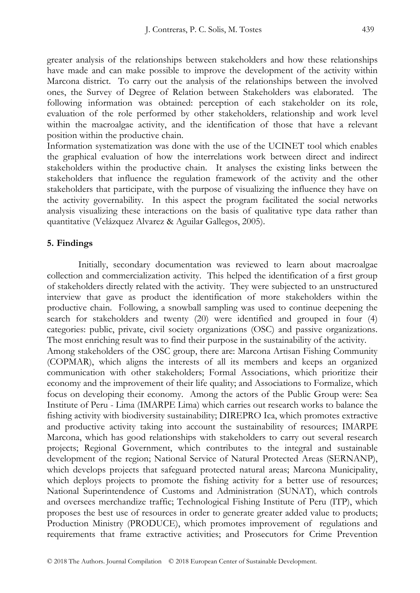greater analysis of the relationships between stakeholders and how these relationships have made and can make possible to improve the development of the activity within Marcona district. To carry out the analysis of the relationships between the involved ones, the Survey of Degree of Relation between Stakeholders was elaborated. The following information was obtained: perception of each stakeholder on its role, evaluation of the role performed by other stakeholders, relationship and work level within the macroalgae activity, and the identification of those that have a relevant position within the productive chain.

Information systematization was done with the use of the UCINET tool which enables the graphical evaluation of how the interrelations work between direct and indirect stakeholders within the productive chain. It analyses the existing links between the stakeholders that influence the regulation framework of the activity and the other stakeholders that participate, with the purpose of visualizing the influence they have on the activity governability. In this aspect the program facilitated the social networks analysis visualizing these interactions on the basis of qualitative type data rather than quantitative (Velázquez Alvarez & Aguilar Gallegos, 2005).

#### **5. Findings**

Initially, secondary documentation was reviewed to learn about macroalgae collection and commercialization activity. This helped the identification of a first group of stakeholders directly related with the activity. They were subjected to an unstructured interview that gave as product the identification of more stakeholders within the productive chain. Following, a snowball sampling was used to continue deepening the search for stakeholders and twenty (20) were identified and grouped in four (4) categories: public, private, civil society organizations (OSC) and passive organizations. The most enriching result was to find their purpose in the sustainability of the activity. Among stakeholders of the OSC group, there are: Marcona Artisan Fishing Community

(COPMAR), which aligns the interests of all its members and keeps an organized communication with other stakeholders; Formal Associations, which prioritize their economy and the improvement of their life quality; and Associations to Formalize, which focus on developing their economy. Among the actors of the Public Group were: Sea Institute of Peru - Lima (IMARPE Lima) which carries out research works to balance the fishing activity with biodiversity sustainability; DIREPRO Ica, which promotes extractive and productive activity taking into account the sustainability of resources; IMARPE Marcona, which has good relationships with stakeholders to carry out several research projects; Regional Government, which contributes to the integral and sustainable development of the region; National Service of Natural Protected Areas (SERNANP), which develops projects that safeguard protected natural areas; Marcona Municipality, which deploys projects to promote the fishing activity for a better use of resources; National Superintendence of Customs and Administration (SUNAT), which controls and oversees merchandize traffic; Technological Fishing Institute of Peru (ITP), which proposes the best use of resources in order to generate greater added value to products; Production Ministry (PRODUCE), which promotes improvement of regulations and requirements that frame extractive activities; and Prosecutors for Crime Prevention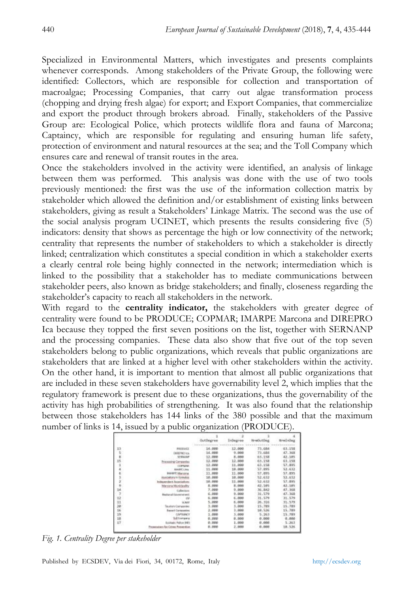Specialized in Environmental Matters, which investigates and presents complaints whenever corresponds. Among stakeholders of the Private Group, the following were identified: Collectors, which are responsible for collection and transportation of macroalgae; Processing Companies, that carry out algae transformation process (chopping and drying fresh algae) for export; and Export Companies, that commercialize and export the product through brokers abroad. Finally, stakeholders of the Passive Group are: Ecological Police, which protects wildlife flora and fauna of Marcona; Captaincy, which are responsible for regulating and ensuring human life safety, protection of environment and natural resources at the sea; and the Toll Company which ensures care and renewal of transit routes in the area.

Once the stakeholders involved in the activity were identified, an analysis of linkage between them was performed. This analysis was done with the use of two tools previously mentioned: the first was the use of the information collection matrix by stakeholder which allowed the definition and/or establishment of existing links between stakeholders, giving as result a Stakeholders' Linkage Matrix. The second was the use of the social analysis program UCINET, which presents the results considering five (5) indicators: density that shows as percentage the high or low connectivity of the network; centrality that represents the number of stakeholders to which a stakeholder is directly linked; centralization which constitutes a special condition in which a stakeholder exerts a clearly central role being highly connected in the network; intermediation which is linked to the possibility that a stakeholder has to mediate communications between stakeholder peers, also known as bridge stakeholders; and finally, closeness regarding the stakeholder's capacity to reach all stakeholders in the network.

With regard to the **centrality indicator,** the stakeholders with greater degree of centrality were found to be PRODUCE; COPMAR; IMARPE Marcona and DIREPRO Ica because they topped the first seven positions on the list, together with SERNANP and the processing companies. These data also show that five out of the top seven stakeholders belong to public organizations, which reveals that public organizations are stakeholders that are linked at a higher level with other stakeholders within the activity. On the other hand, it is important to mention that almost all public organizations that are included in these seven stakeholders have governability level 2, which implies that the regulatory framework is present due to these organizations, thus the governability of the activity has high probabilities of strengthening. It was also found that the relationship between those stakeholders has 144 links of the 380 possible and that the maximum number of links is 14, issued by a public organization (PRODUCE).

|    |                                   |        | <b>INDANISIA</b> |        | 15 rue Encline a |
|----|-----------------------------------|--------|------------------|--------|------------------|
| 13 | <b>PRODUCE</b>                    | 14.000 | 12,000           | 73.684 | 43.156           |
| s. | <b>GREEPRO ICA</b>                | 14.000 | 9.999            | 73.684 | 47.368           |
|    | UNIVAR                            | 12.000 | 8.000            | 65,158 | 42,305           |
| 15 | Companies<br>Princessing          | 12,000 | 12.000           | 63.158 | 63.158           |
|    | COPAAR                            | 12.000 | 11.000           | 63.158 | 57.895           |
|    | <b><i>BAABIELING</i></b>          | 11.000 | 18.000           | 57.895 | 52.632           |
|    | <b>BALBIT History</b>             | 11,000 | 11.000           | 57.895 | 57.895           |
|    | coultons to Tormales              | 10.000 | 10.000           | 52.632 | 52.632           |
|    | Independent Associations          | 38.000 | 11.000           | 52.632 | \$7.895          |
|    | Marcoria Municipality             | 5.000  | 8.000            | 42.105 | 42.105           |
| 14 | Collectors                        | 7.000  | 9.000            | 36.842 | 47.368           |
|    | <b>Registrated Estragements</b>   | 6.000  | 9.000            | 31.579 | 47.368           |
| 12 |                                   | 5.000  | 6.600            | 31.579 | 31.579           |
| 11 | SUMU                              | 5.000  | 6.000            | 26.516 | 31.579           |
| 1b | <b>Skuldars Coinvisenter</b>      | 3.000  | 3.000            | 15.709 | 15.789           |
| 16 | <b>Enjoint Companies</b>          | 2.000  | 2.000            | 18.526 | 15.789           |
| 15 | CAPTAINCY                         | 1.000  | 3,000            | 5.263  | 15,789           |
| 18 | <b>Toll Distribution</b>          | 0.000  | 0.000            | 0.000  | 0.000            |
| 17 | Ecolude Palice IMT                | 0.000  | 1.000            | 0.001  | 5.263            |
|    | Presentators for Crime Presentium | 8.000  | 2,888            | 0.000  | 10.526           |
|    |                                   |        |                  |        |                  |

*Fig. 1. Centrality Degree per stakeholder*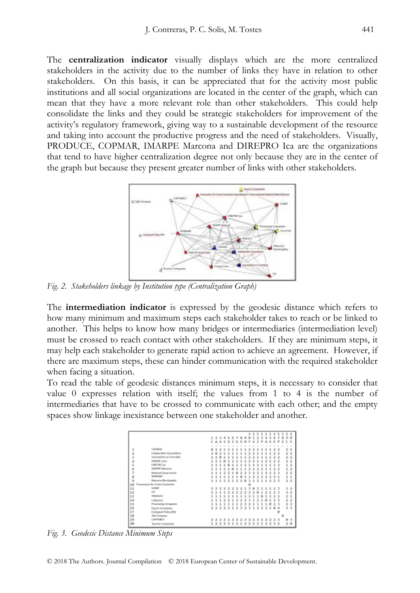The **centralization indicator** visually displays which are the more centralized stakeholders in the activity due to the number of links they have in relation to other stakeholders. On this basis, it can be appreciated that for the activity most public institutions and all social organizations are located in the center of the graph, which can mean that they have a more relevant role than other stakeholders. This could help consolidate the links and they could be strategic stakeholders for improvement of the activity's regulatory framework, giving way to a sustainable development of the resource and taking into account the productive progress and the need of stakeholders. Visually, PRODUCE, COPMAR, IMARPE Marcona and DIREPRO Ica are the organizations that tend to have higher centralization degree not only because they are in the center of the graph but because they present greater number of links with other stakeholders.



*Fig. 2. Stakeholders linkage by Institution type (Centralization Graph)*

The **intermediation indicator** is expressed by the geodesic distance which refers to how many minimum and maximum steps each stakeholder takes to reach or be linked to another. This helps to know how many bridges or intermediaries (intermediation level) must be crossed to reach contact with other stakeholders. If they are minimum steps, it may help each stakeholder to generate rapid action to achieve an agreement. However, if there are maximum steps, these can hinder communication with the required stakeholder when facing a situation.

To read the table of geodesic distances minimum steps, it is necessary to consider that value 0 expresses relation with itself; the values from 1 to 4 is the number of intermediaries that have to be crossed to communicate with each other; and the empty spaces show linkage inexistance between one stakeholder and another.

|        |                                 |    |               |                      |              |              |               | 12345678<br>CAAIDIG     | $\kappa$      | $\sim$<br>$14$       | ۰<br>$\blacksquare$ | -              | 123<br>x     | ٠                        | ٠<br>A         | 5<br>÷         | ۰<br>$\epsilon$ | $\overline{ }$<br>m | 11111111112<br>遇 | C.F | $\sqrt{2}$     |
|--------|---------------------------------|----|---------------|----------------------|--------------|--------------|---------------|-------------------------|---------------|----------------------|---------------------|----------------|--------------|--------------------------|----------------|----------------|-----------------|---------------------|------------------|-----|----------------|
|        |                                 |    |               |                      |              |              |               |                         |               |                      |                     |                |              |                          |                |                |                 |                     |                  |     |                |
|        | CORMAA                          |    |               | 12                   | п.           |              | 111           |                         | $\mathbf{1}$  | $\mathbf{1}$         |                     | 2211           |              |                          | 11             |                | 22              |                     |                  | 21  |                |
|        | Independent Associations        |    |               | ,                    | в            |              | 11            | $\overline{a}$          | $\mathbf{1}$  | 1                    | z                   | $\overline{z}$ | $\mathbf{1}$ | $\overline{\phantom{a}}$ | 1              |                | $\overline{z}$  | $\overline{z}$      |                  | ż   | 2              |
| 医深层部   | Associations to Econsalise      | э  | $\mathcal{F}$ | 81                   |              | $\mathbf{1}$ | $\mathbf{1}$  | ٠                       | $\mathbf{1}$  | 1                    | z                   | ×              | $\mathbf{1}$ | $\overline{1}$           | ı              | $\mathbf{1}$   | $\mathbf{r}$    | $\rightarrow$       |                  | ä   | ż              |
|        | <b>INMARK Line</b>              | ż  | ٠             | $\mathbf{1}$         |              | ı            | $\mathbf{1}$  | ÷                       | ı             | ı                    | ž                   | ż              | 1            | ı                        | x              | 1              | $\mathcal{F}$   | ä,                  |                  | ä   | ä              |
| s<br>6 | DIREPRO Ica                     | 1  |               | 11                   | $\mathbf{1}$ | ۰            | $\mathbf{1}$  | ٠                       | $\mathbf{1}$  | э                    | ٠                   | $\mathbf{1}$   | э            | ÷.                       | $\mathbf{1}$   | $\mathbf{1}$   | ı               | a,                  |                  | 1   | ż              |
|        | <b>INAUPE Manager</b>           | ÷  | ı             | $\mathbf{1}$         | ٠            | ÷.           | a.            | ٠                       | $\mathbf{1}$  | $\pm$                | ÷.                  | ż              | э            | $\rightarrow$            | $\mathbf{1}$   | $\mathbf{1}$   | x               | -2                  |                  | 1   | 2              |
| 7      | Rodonal Gavernment              |    | ٠             | $\pm$                | ٠            | x            | $\rightarrow$ | <b>Ob</b>               | x             | 2                    | ٠                   | ÷              | 2            | ÷                        | ×              | $\pm$          | x               | -                   |                  | 3   | 2              |
| ä      | <b>SERNAME</b>                  | ÷  | ÷             | $\ddot{\phantom{1}}$ | ÷            | ÷.           | $\pm$         | ÷                       | ÷             | $\ddot{\phantom{1}}$ | ÷                   | ż              | 2            | $\rightarrow$            | -2             | 2              | 3.1             |                     |                  | 11  |                |
| ğ      | Mammra Municipality             |    |               |                      | 1111212      |              |               |                         | z             | a.                   | 3                   | $\mathbf{1}$   | -2           | ÷.                       |                |                | 1223            |                     |                  | 22  |                |
| 10     | Pronunston for Drima Presentian |    |               |                      |              |              |               |                         |               |                      |                     |                |              |                          |                |                |                 |                     |                  |     |                |
| 11     | <b>SUMP</b>                     |    |               |                      |              |              |               | 22222221                |               |                      | 3                   | $\alpha$       | 21           |                          |                |                | 1113            |                     |                  |     | 32             |
| 12     | <b>CTP</b>                      |    |               |                      |              |              |               | 1111222                 | $\rightarrow$ | 2                    |                     | 320            |              | $\mathbf{1}$             | 21             |                | 23              |                     |                  |     | 32             |
| 13     | <b>PRODUCE</b>                  | ٠. |               |                      | 111          |              |               | 11111                   |               |                      |                     | 2110           |              |                          | 11             |                | 22              |                     |                  | 21  |                |
| 14     | Collectors                      | 1. |               |                      |              |              |               | 1122122                 |               | z                    |                     | 3121           |              |                          | $\theta$       | 1              | 2.3             |                     |                  | 22  |                |
| 15     | <b>Presenting Companies</b>     |    |               |                      |              |              |               | 1111111222111           |               |                      |                     |                |              |                          | 10             |                | 1 <sub>3</sub>  |                     |                  |     | 22             |
| 16     | Export Eorngwries               |    |               |                      |              |              |               | 222222323122            |               |                      |                     |                |              |                          |                |                | 2104            |                     |                  |     | 3 <sub>3</sub> |
| 17     | Ecological Police [69]          |    |               |                      |              |              |               |                         |               |                      |                     |                |              |                          |                |                |                 |                     |                  |     |                |
| 18     | Tell Company                    |    |               |                      |              |              |               |                         |               |                      |                     |                |              |                          |                |                |                 |                     |                  |     |                |
| 19     | CREMAKY                         |    |               |                      |              |              |               | 2 2 2 2 1 2 2 2 3 2 2 3 |               |                      |                     |                |              | $\overline{z}$           | $\overline{z}$ | $\overline{z}$ | 23              |                     |                  | 03  |                |
| 28     | Tourism Companies               |    |               |                      |              |              |               | 12222212                |               |                      |                     | 2221           |              |                          | $\overline{z}$ |                | 232             |                     |                  | z   | $\theta$       |
|        |                                 |    |               |                      |              |              |               |                         |               |                      |                     |                |              |                          |                |                |                 |                     |                  |     |                |

*Fig. 3. Geodesic Distance Minimum Steps*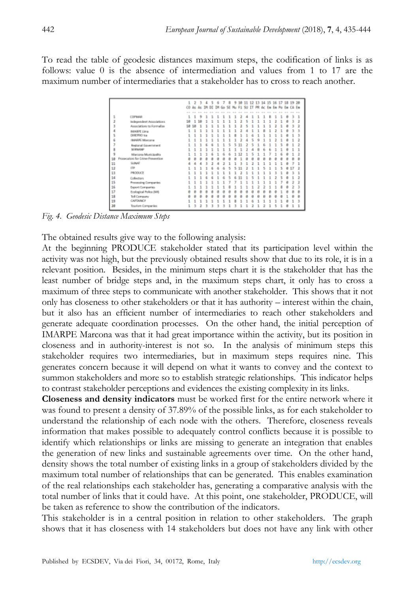To read the table of geodesic distances maximum steps, the codification of links is as follows: value 0 is the absence of intermediation and values from 1 to 17 are the maximum number of intermediaries that a stakeholder has to cross to reach another.

|    |                                  | $\mathbf{1}$ |            |    | 2 3 4 5     |   | 6 |   |       |   |       |   |  |   |   |   | 7 8 9 10 11 12 13 14 15 16 17 18 19 20 |   |
|----|----------------------------------|--------------|------------|----|-------------|---|---|---|-------|---|-------|---|--|---|---|---|----------------------------------------|---|
|    |                                  |              | $CO$ As As |    | TH OE TH Go |   |   | s | Mu FS |   | SU IT |   |  |   |   |   | PR Ac Em Em Po Em CA Em                |   |
|    |                                  |              |            |    |             |   |   |   |       |   |       |   |  |   |   |   |                                        |   |
| 1  | <b>CDPMMR</b>                    | 1            | 1          | ٠  | ٠           | ٠ | ٠ |   | ٠     | э | ٨     | ٠ |  | × | ٠ | й | R                                      | 1 |
|    | Independent Accorations          | 18           | 1          | 18 |             |   |   |   |       |   |       |   |  |   |   |   |                                        | 2 |
|    | Associations to Formalise        | 10           | 18         |    |             |   |   |   |       |   |       |   |  |   |   |   |                                        |   |
| 4  | <b>MARY Line</b>                 |              |            |    |             |   |   |   |       |   |       |   |  |   |   |   |                                        |   |
|    | DERETRO lea                      |              |            |    |             |   |   |   |       |   |       |   |  |   |   |   |                                        |   |
|    | IMARPE Marcory                   |              |            |    |             |   |   |   |       |   |       |   |  |   |   |   |                                        |   |
|    | Regional Government              |              |            |    |             |   |   |   |       |   |       |   |  |   |   |   |                                        |   |
|    | SERNANE                          |              |            |    |             |   |   |   |       |   |       |   |  |   |   |   |                                        |   |
| ۹  | Marcosa Musicipality             |              |            |    |             |   |   |   |       |   |       |   |  |   |   |   |                                        |   |
| 10 | Prosecutors for Crime Prevention | в            |            |    |             |   |   |   |       |   |       |   |  |   |   |   |                                        | B |
| 11 | SLINAT                           |              |            |    |             |   |   |   |       |   |       |   |  |   |   |   |                                        | 1 |
| 12 | ITP.                             |              |            |    |             |   |   |   | ۹     |   |       |   |  |   |   |   |                                        | 2 |
| 11 | PRODUCE                          |              |            |    |             |   |   |   |       |   |       |   |  |   |   |   |                                        |   |
| 14 | Collectors                       |              |            |    |             |   |   |   |       |   |       |   |  |   |   |   |                                        | 2 |
| 15 | Processing Companies             |              |            |    |             |   |   |   |       |   |       |   |  |   |   |   |                                        |   |
| 16 | Export Companies                 |              |            |    |             |   |   |   |       |   |       |   |  |   |   |   |                                        |   |
| 17 | Ecological Police (MI)           |              |            |    |             |   |   |   |       |   |       |   |  |   |   |   |                                        | ė |
| 18 | <b>Toll Company</b>              |              |            |    |             |   |   |   |       |   |       |   |  |   |   |   |                                        | 8 |
| 19 | <b>CAPTAINCY</b>                 |              |            |    |             |   |   |   |       |   |       |   |  |   |   |   |                                        | 3 |
| 20 | Touriam Companies                |              | 3          | 2  |             |   |   |   |       |   |       |   |  |   |   |   |                                        |   |

*Fig. 4. Geodesic Distance Maximum Steps*

The obtained results give way to the following analysis:

At the beginning PRODUCE stakeholder stated that its participation level within the activity was not high, but the previously obtained results show that due to its role, it is in a relevant position. Besides, in the minimum steps chart it is the stakeholder that has the least number of bridge steps and, in the maximum steps chart, it only has to cross a maximum of three steps to communicate with another stakeholder. This shows that it not only has closeness to other stakeholders or that it has authority – interest within the chain, but it also has an efficient number of intermediaries to reach other stakeholders and generate adequate coordination processes. On the other hand, the initial perception of IMARPE Marcona was that it had great importance within the activity, but its position in closeness and in authority-interest is not so. In the analysis of minimum steps this stakeholder requires two intermediaries, but in maximum steps requires nine. This generates concern because it will depend on what it wants to convey and the context to summon stakeholders and more so to establish strategic relationships. This indicator helps to contrast stakeholder perceptions and evidences the existing complexity in its links.

**Closeness and density indicators** must be worked first for the entire network where it was found to present a density of 37.89% of the possible links, as for each stakeholder to understand the relationship of each node with the others. Therefore, closeness reveals information that makes possible to adequately control conflicts because it is possible to identify which relationships or links are missing to generate an integration that enables the generation of new links and sustainable agreements over time. On the other hand, density shows the total number of existing links in a group of stakeholders divided by the maximum total number of relationships that can be generated. This enables examination of the real relationships each stakeholder has, generating a comparative analysis with the total number of links that it could have. At this point, one stakeholder, PRODUCE, will be taken as reference to show the contribution of the indicators.

This stakeholder is in a central position in relation to other stakeholders. The graph shows that it has closeness with 14 stakeholders but does not have any link with other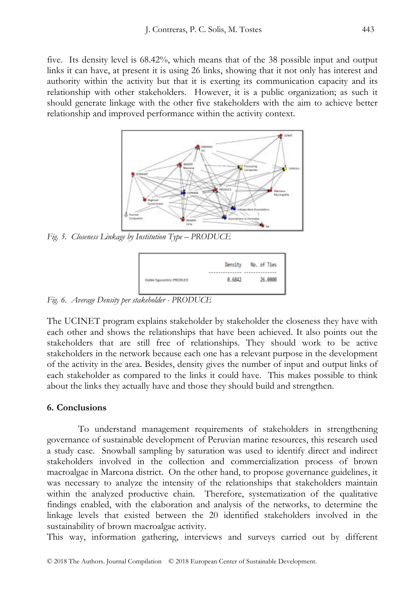five. Its density level is 68.42%, which means that of the 38 possible input and output links it can have, at present it is using 26 links, showing that it not only has interest and authority within the activity but that it is exerting its communication capacity and its relationship with other stakeholders. However, it is a public organization; as such it should generate linkage with the other five stakeholders with the aim to achieve better relationship and improved performance within the activity context.



*Fig. 5. Closeness Linkage by Institution Type – PRODUCE* 



*Fig. 6. Average Density per stakeholder - PRODUCE*

The UCINET program explains stakeholder by stakeholder the closeness they have with each other and shows the relationships that have been achieved. It also points out the stakeholders that are still free of relationships. They should work to be active stakeholders in the network because each one has a relevant purpose in the development of the activity in the area. Besides, density gives the number of input and output links of each stakeholder as compared to the links it could have. This makes possible to think about the links they actually have and those they should build and strengthen.

# **6. Conclusions**

To understand management requirements of stakeholders in strengthening governance of sustainable development of Peruvian marine resources, this research used a study case. Snowball sampling by saturation was used to identify direct and indirect stakeholders involved in the collection and commercialization process of brown macroalgae in Marcona district. On the other hand, to propose governance guidelines, it was necessary to analyze the intensity of the relationships that stakeholders maintain within the analyzed productive chain. Therefore, systematization of the qualitative findings enabled, with the elaboration and analysis of the networks, to determine the linkage levels that existed between the 20 identified stakeholders involved in the sustainability of brown macroalgae activity.

This way, information gathering, interviews and surveys carried out by different